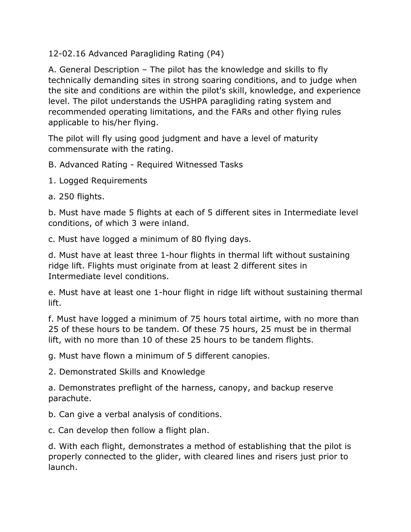12-02.16 Advanced Paragliding Rating (P4)

A. General Description – The pilot has the knowledge and skills to fly technically demanding sites in strong soaring conditions, and to judge when the site and conditions are within the pilot's skill, knowledge, and experience level. The pilot understands the USHPA paragliding rating system and recommended operating limitations, and the FARs and other flying rules applicable to his/her flying.

The pilot will fly using good judgment and have a level of maturity commensurate with the rating.

B. Advanced Rating - Required Witnessed Tasks

- 1. Logged Requirements
- a. 250 flights.

b. Must have made 5 flights at each of 5 different sites in Intermediate level conditions, of which 3 were inland.

c. Must have logged a minimum of 80 flying days.

d. Must have at least three 1-hour flights in thermal lift without sustaining ridge lift. Flights must originate from at least 2 different sites in Intermediate level conditions.

e. Must have at least one 1-hour flight in ridge lift without sustaining thermal lift.

f. Must have logged a minimum of 75 hours total airtime, with no more than 25 of these hours to be tandem. Of these 75 hours, 25 must be in thermal lift, with no more than 10 of these 25 hours to be tandem flights.

g. Must have flown a minimum of 5 different canopies.

2. Demonstrated Skills and Knowledge

a. Demonstrates preflight of the harness, canopy, and backup reserve parachute.

b. Can give a verbal analysis of conditions.

c. Can develop then follow a flight plan.

d. With each flight, demonstrates a method of establishing that the pilot is properly connected to the glider, with cleared lines and risers just prior to launch.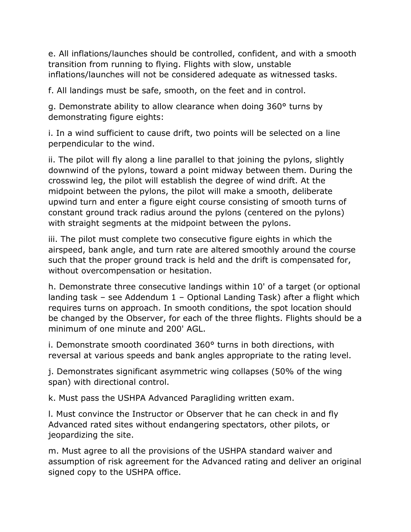e. All inflations/launches should be controlled, confident, and with a smooth transition from running to flying. Flights with slow, unstable inflations/launches will not be considered adequate as witnessed tasks.

f. All landings must be safe, smooth, on the feet and in control.

g. Demonstrate ability to allow clearance when doing 360° turns by demonstrating figure eights:

i. In a wind sufficient to cause drift, two points will be selected on a line perpendicular to the wind.

ii. The pilot will fly along a line parallel to that joining the pylons, slightly downwind of the pylons, toward a point midway between them. During the crosswind leg, the pilot will establish the degree of wind drift. At the midpoint between the pylons, the pilot will make a smooth, deliberate upwind turn and enter a figure eight course consisting of smooth turns of constant ground track radius around the pylons (centered on the pylons) with straight segments at the midpoint between the pylons.

iii. The pilot must complete two consecutive figure eights in which the airspeed, bank angle, and turn rate are altered smoothly around the course such that the proper ground track is held and the drift is compensated for, without overcompensation or hesitation.

h. Demonstrate three consecutive landings within 10' of a target (or optional landing task – see Addendum 1 – Optional Landing Task) after a flight which requires turns on approach. In smooth conditions, the spot location should be changed by the Observer, for each of the three flights. Flights should be a minimum of one minute and 200' AGL.

i. Demonstrate smooth coordinated 360° turns in both directions, with reversal at various speeds and bank angles appropriate to the rating level.

j. Demonstrates significant asymmetric wing collapses (50% of the wing span) with directional control.

k. Must pass the USHPA Advanced Paragliding written exam.

l. Must convince the Instructor or Observer that he can check in and fly Advanced rated sites without endangering spectators, other pilots, or jeopardizing the site.

m. Must agree to all the provisions of the USHPA standard waiver and assumption of risk agreement for the Advanced rating and deliver an original signed copy to the USHPA office.